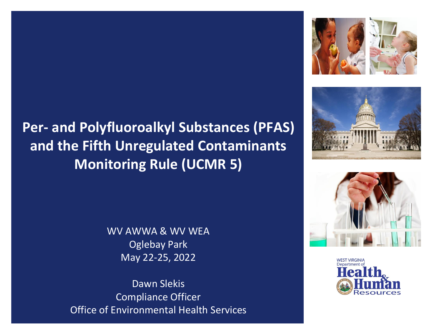# **Per- and Polyfluoroalkyl Substances (PFAS) and the Fifth Unregulated Contaminants Monitoring Rule (UCMR 5)**

WV AWWA & WV WEA Oglebay Park May 22-25, 2022

Dawn Slekis Compliance Officer Office of Environmental Health Services







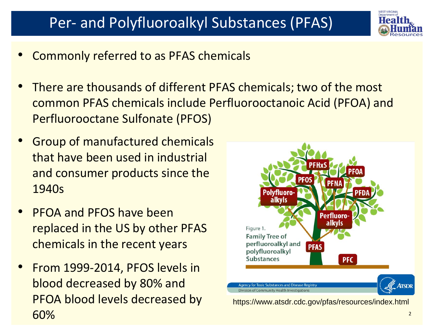

- Commonly referred to as PFAS chemicals
- There are thousands of different PFAS chemicals; two of the most common PFAS chemicals include Perfluorooctanoic Acid (PFOA) and Perfluorooctane Sulfonate (PFOS)
- Group of manufactured chemicals that have been used in industrial and consumer products since the 1940s
- PFOA and PFOS have been replaced in the US by other PFAS chemicals in the recent years
- From 1999-2014, PFOS levels in blood decreased by 80% and PFOA blood levels decreased by 60%



https://www.atsdr.cdc.gov/pfas/resources/index.html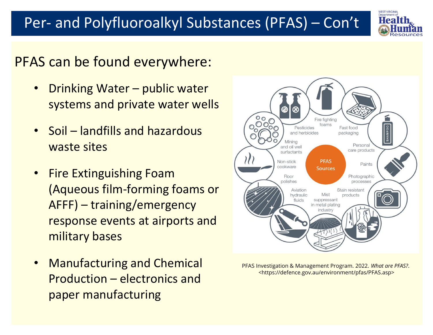

## PFAS can be found everywhere:

- Drinking Water public water systems and private water wells
- Soil landfills and hazardous waste sites
- Fire Extinguishing Foam (Aqueous film-forming foams or AFFF) – training/emergency response events at airports and military bases
- Manufacturing and Chemical Production – electronics and paper manufacturing



PFAS Investigation & Management Program. 2022. *What are PFAS?*. <https://defence.gov.au/environment/pfas/PFAS.asp>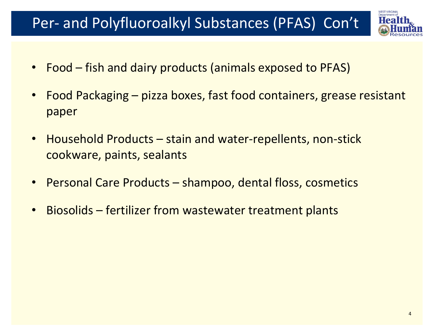

- Food fish and dairy products (animals exposed to PFAS)
- Food Packaging pizza boxes, fast food containers, grease resistant paper
- Household Products stain and water-repellents, non-stick cookware, paints, sealants
- Personal Care Products shampoo, dental floss, cosmetics
- Biosolids fertilizer from wastewater treatment plants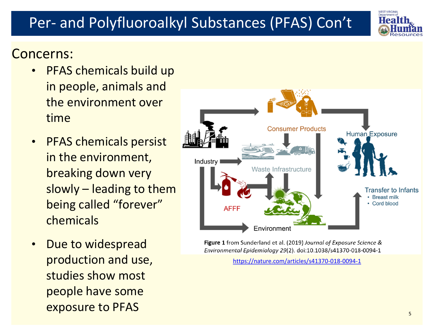### Concerns:

- PFAS chemicals build up in people, animals and the environment over time
- PFAS chemicals persist in the environment, breaking down very slowly – leading to them being called "forever" chemicals
- Due to widespread production and use, studies show most people have some exposure to PFAS 5 and 5 and 5 and 5 and 5 and 5 and 5 and 5 and 5 and 5 and 5 and 5 and 5 and 5 and 5 and 5 and 5 and 5 and 5 and 5 and 5 and 5 and 5 and 5 and 5 and 5 and 5 and 5 and 5 and 5 and 5 and 5 and 5 and 5 and 5

Figure 1 from Sunderland et al. (2019) Journal of Exposure Science & Environmental Epidemiology 29(2). doi:10.1038/s41370-018-0094-1

<https://nature.com/articles/s41370-018-0094-1>



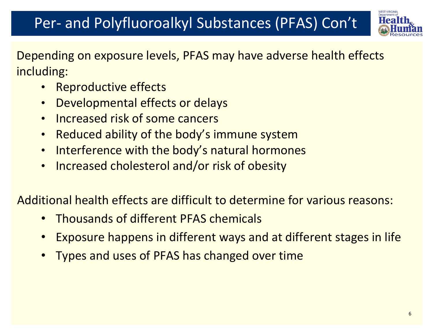

Depending on exposure levels, PFAS may have adverse health effects including:

- Reproductive effects
- Developmental effects or delays
- Increased risk of some cancers
- Reduced ability of the body's immune system
- Interference with the body's natural hormones
- Increased cholesterol and/or risk of obesity

Additional health effects are difficult to determine for various reasons:

- Thousands of different PFAS chemicals
- Exposure happens in different ways and at different stages in life
- Types and uses of PFAS has changed over time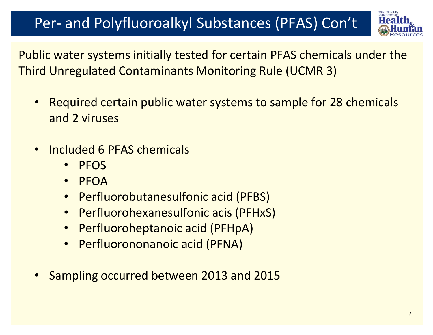

Public water systems initially tested for certain PFAS chemicals under the Third Unregulated Contaminants Monitoring Rule (UCMR 3)

- Required certain public water systems to sample for 28 chemicals and 2 viruses
- Included 6 PFAS chemicals
	- PFOS
	- PFOA
	- Perfluorobutanesulfonic acid (PFBS)
	- Perfluorohexanesulfonic acis (PFHxS)
	- Perfluoroheptanoic acid (PFHpA)
	- Perfluorononanoic acid (PFNA)
- Sampling occurred between 2013 and 2015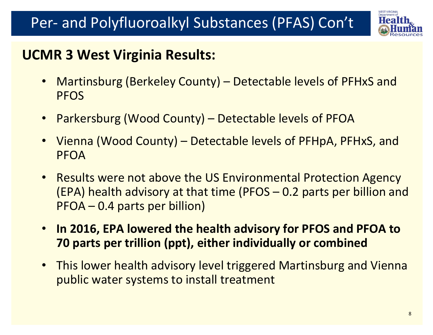

## **UCMR 3 West Virginia Results:**

- Martinsburg (Berkeley County) Detectable levels of PFHxS and PFOS
- Parkersburg (Wood County) Detectable levels of PFOA
- Vienna (Wood County) Detectable levels of PFHpA, PFHxS, and PFOA
- Results were not above the US Environmental Protection Agency (EPA) health advisory at that time (PFOS – 0.2 parts per billion and PFOA – 0.4 parts per billion)
- **In 2016, EPA lowered the health advisory for PFOS and PFOA to 70 parts per trillion (ppt), either individually or combined**
- This lower health advisory level triggered Martinsburg and Vienna public water systems to install treatment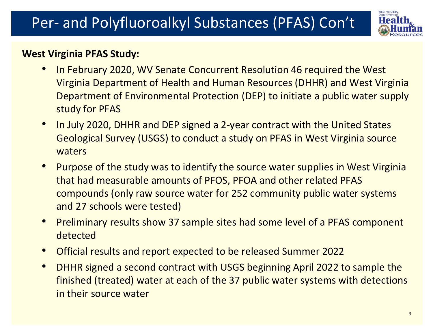

### **West Virginia PFAS Study:**

- In February 2020, WV Senate Concurrent Resolution 46 required the West Virginia Department of Health and Human Resources (DHHR) and West Virginia Department of Environmental Protection (DEP) to initiate a public water supply study for PFAS
- In July 2020, DHHR and DEP signed a 2-year contract with the United States Geological Survey (USGS) to conduct a study on PFAS in West Virginia source waters
- Purpose of the study was to identify the source water supplies in West Virginia that had measurable amounts of PFOS, PFOA and other related PFAS compounds (only raw source water for 252 community public water systems and 27 schools were tested)
- Preliminary results show 37 sample sites had some level of a PFAS component detected
- Official results and report expected to be released Summer 2022
- DHHR signed a second contract with USGS beginning April 2022 to sample the finished (treated) water at each of the 37 public water systems with detections in their source water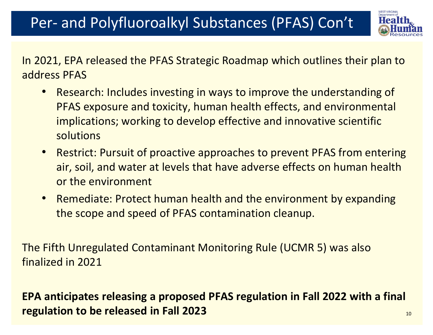

In 2021, EPA released the PFAS Strategic Roadmap which outlines their plan to address PFAS

- Research: Includes investing in ways to improve the understanding of PFAS exposure and toxicity, human health effects, and environmental implications; working to develop effective and innovative scientific solutions
- Restrict: Pursuit of proactive approaches to prevent PFAS from entering air, soil, and water at levels that have adverse effects on human health or the environment
- Remediate: Protect human health and the environment by expanding the scope and speed of PFAS contamination cleanup.

The Fifth Unregulated Contaminant Monitoring Rule (UCMR 5) was also finalized in 2021

**EPA anticipates releasing a proposed PFAS regulation in Fall 2022 with a final regulation to be released in Fall 2023** 10 and 10 and 10 and 10 and 10 and 10 and 10 and 10 and 10 and 10 and 10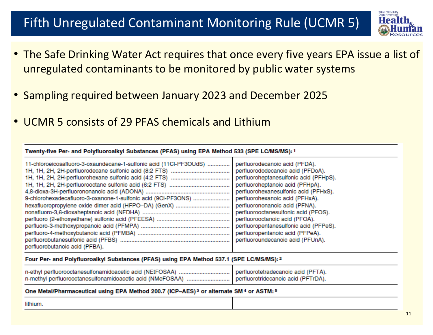### Fifth Unregulated Contaminant Monitoring Rule (UCMR 5)



- The Safe Drinking Water Act requires that once every five years EPA issue a list of unregulated contaminants to be monitored by public water systems
- Sampling required between January 2023 and December 2025
- UCMR 5 consists of 29 PFAS chemicals and Lithium

### Twenty-five Per- and Polyfluoroalkyl Substances (PFAS) using EPA Method 533 (SPE LC/MS/MS): 1

| 11-chloroeicosafluoro-3-oxaundecane-1-sulfonic acid (11CI-PF3OUdS)<br>9-chlorohexadecafluoro-3-oxanone-1-sulfonic acid (9CI-PF3ONS) | perfluorodecanoic acid (PFDA).<br>perfluorododecanoic acid (PFDoA).<br>perfluoroheptanesulfonic acid (PFHpS).<br>perfluoroheptanoic acid (PFHpA).<br>perfluorohexanesulfonic acid (PFHxS).<br>perfluorohexanoic acid (PFHxA).<br>perfluorononanoic acid (PFNA).<br>perfluorooctanesulfonic acid (PFOS).<br>perfluorooctanoic acid (PFOA).<br>perfluoropentanesulfonic acid (PFPeS).<br>perfluoropentanoic acid (PFPeA). |
|-------------------------------------------------------------------------------------------------------------------------------------|-------------------------------------------------------------------------------------------------------------------------------------------------------------------------------------------------------------------------------------------------------------------------------------------------------------------------------------------------------------------------------------------------------------------------|
|                                                                                                                                     | perfluoroundecanoic acid (PFUnA).                                                                                                                                                                                                                                                                                                                                                                                       |
| perfluorobutanoic acid (PFBA).                                                                                                      |                                                                                                                                                                                                                                                                                                                                                                                                                         |

### Four Per- and Polyfluoroalkyl Substances (PFAS) using EPA Method 537.1 (SPE LC/MS/MS): 2

| n-ethyl perfluorooctanesulfonamidoacetic acid (NEtFOSAA)   perfluorotetradecanoic acid (PFTA). |                                     |
|------------------------------------------------------------------------------------------------|-------------------------------------|
| n-methyl perfluorooctanesulfonamidoacetic acid (NMeFOSAA).                                     | perfluorotridecanoic acid (PFTrDA). |

### One Metal/Pharmaceutical using EPA Method 200.7 (ICP-AES)<sup>3</sup> or alternate SM<sup>4</sup> or ASTM:<sup>5</sup>

lithium.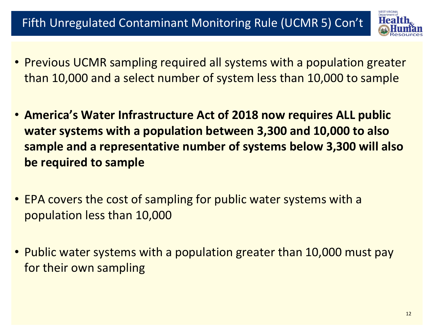## Fifth Unregulated Contaminant Monitoring Rule (UCMR 5) Con't



- Previous UCMR sampling required all systems with a population greater than 10,000 and a select number of system less than 10,000 to sample
- **America's Water Infrastructure Act of 2018 now requires ALL public water systems with a population between 3,300 and 10,000 to also sample and a representative number of systems below 3,300 will also be required to sample**
- EPA covers the cost of sampling for public water systems with a population less than 10,000
- Public water systems with a population greater than 10,000 must pay for their own sampling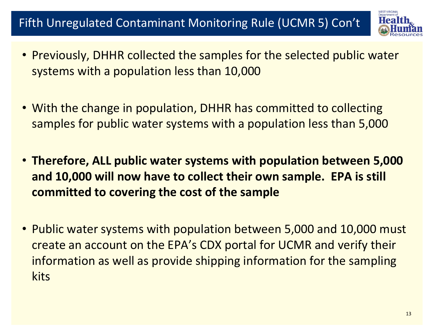### Fifth Unregulated Contaminant Monitoring Rule (UCMR 5) Con't



- Previously, DHHR collected the samples for the selected public water systems with a population less than 10,000
- With the change in population, DHHR has committed to collecting samples for public water systems with a population less than 5,000
- **Therefore, ALL public water systems with population between 5,000 and 10,000 will now have to collect their own sample. EPA is still committed to covering the cost of the sample**
- Public water systems with population between 5,000 and 10,000 must create an account on the EPA's CDX portal for UCMR and verify their information as well as provide shipping information for the sampling kits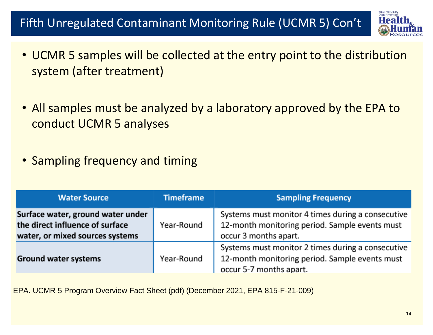### Fifth Unregulated Contaminant Monitoring Rule (UCMR 5) Con't



- UCMR 5 samples will be collected at the entry point to the distribution system (after treatment)
- All samples must be analyzed by a laboratory approved by the EPA to conduct UCMR 5 analyses
- Sampling frequency and timing

| <b>Water Source</b>                                                                                     | <b>Timeframe</b> | <b>Sampling Frequency</b>                                                                                                      |
|---------------------------------------------------------------------------------------------------------|------------------|--------------------------------------------------------------------------------------------------------------------------------|
| Surface water, ground water under<br>the direct influence of surface<br>water, or mixed sources systems | Year-Round       | Systems must monitor 4 times during a consecutive<br>12-month monitoring period. Sample events must<br>occur 3 months apart.   |
| <b>Ground water systems</b>                                                                             | Year-Round       | Systems must monitor 2 times during a consecutive<br>12-month monitoring period. Sample events must<br>occur 5-7 months apart. |

EPA. UCMR 5 Program Overview Fact Sheet (pdf) (December 2021, EPA 815-F-21-009)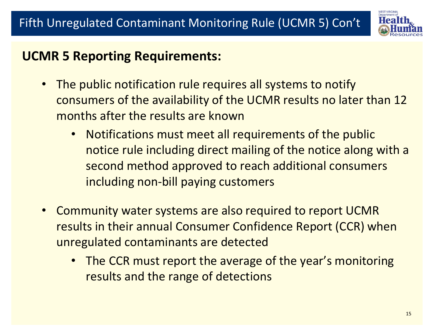

### **UCMR 5 Reporting Requirements:**

- The public notification rule requires all systems to notify consumers of the availability of the UCMR results no later than 12 months after the results are known
	- Notifications must meet all requirements of the public notice rule including direct mailing of the notice along with a second method approved to reach additional consumers including non-bill paying customers
- Community water systems are also required to report UCMR results in their annual Consumer Confidence Report (CCR) when unregulated contaminants are detected
	- The CCR must report the average of the year's monitoring results and the range of detections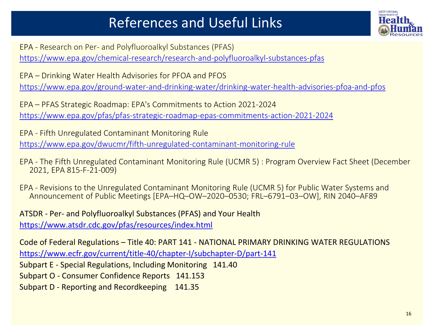## References and Useful Links



EPA - Research on Per- and Polyfluoroalkyl Substances (PFAS) <https://www.epa.gov/chemical-research/research-and-polyfluoroalkyl-substances-pfas>

EPA – Drinking Water Health Advisories for PFOA and PFOS <https://www.epa.gov/ground-water-and-drinking-water/drinking-water-health-advisories-pfoa-and-pfos>

EPA – PFAS Strategic Roadmap: EPA's Commitments to Action 2021-2024 <https://www.epa.gov/pfas/pfas-strategic-roadmap-epas-commitments-action-2021-2024>

EPA - Fifth Unregulated Contaminant Monitoring Rule <https://www.epa.gov/dwucmr/fifth-unregulated-contaminant-monitoring-rule>

- EPA The Fifth Unregulated Contaminant Monitoring Rule (UCMR 5) : Program Overview Fact Sheet (December 2021, EPA 815-F-21-009)
- EPA Revisions to the Unregulated Contaminant Monitoring Rule (UCMR 5) for Public Water Systems and Announcement of Public Meetings [EPA–HQ–OW–2020–0530; FRL–6791–03–OW], RIN 2040–AF89

ATSDR - Per- and Polyfluoroalkyl Substances (PFAS) and Your Health <https://www.atsdr.cdc.gov/pfas/resources/index.html>

Code of Federal Regulations – Title 40: PART 141 - NATIONAL PRIMARY DRINKING WATER REGULATIONS <https://www.ecfr.gov/current/title-40/chapter-I/subchapter-D/part-141>

Subpart E - Special Regulations, Including Monitoring 141.40

Subpart O - Consumer Confidence Reports 141.153

Subpart D - Reporting and Recordkeeping 141.35